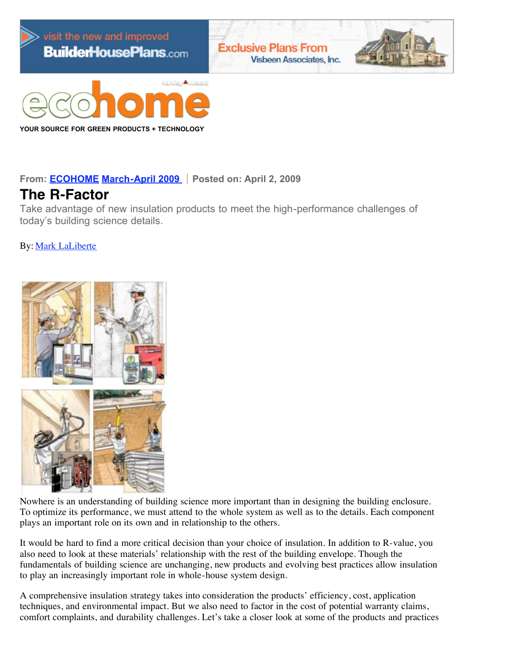

**YOUR SOURCE FOR GREEN PRODUCTS + TECHNOLOGY**

**From: [ECOHOME](http://www.ecohomemagazine.com/) [March-April](http://www.ecohomemagazine.com/table-of-contents/ECOHOME/2009/March-April.aspx) [2009](http://www.ecohomemagazine.com/table-of-contents/ECOHOME/2009.aspx) Posted on: April 2, 2009**

## **The R-Factor**

Take advantage of new insulation products to meet the high-performance challenges of today's building science details.

By: [Mark LaLiberte](http://www.ecohomemagazine.com/find-articles.aspx?byline=Mark%20LaLiberte)



Nowhere is an understanding of building science more important than in designing the building enclosure. To optimize its performance, we must attend to the whole system as well as to the details. Each component plays an important role on its own and in relationship to the others.

It would be hard to find a more critical decision than your choice of insulation. In addition to R-value, you also need to look at these materials' relationship with the rest of the building envelope. Though the fundamentals of building science are unchanging, new products and evolving best practices allow insulation to play an increasingly important role in whole-house system design.

A comprehensive insulation strategy takes into consideration the products' efficiency, cost, application techniques, and environmental impact. But we also need to factor in the cost of potential warranty claims, comfort complaints, and durability challenges. Let's take a closer look at some of the products and practices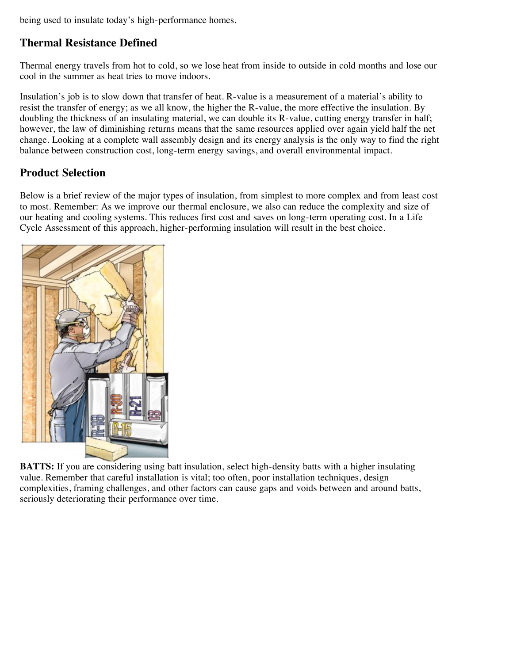being used to insulate today's high-performance homes.

### **Thermal Resistance Defined**

Thermal energy travels from hot to cold, so we lose heat from inside to outside in cold months and lose our cool in the summer as heat tries to move indoors.

Insulation's job is to slow down that transfer of heat. R-value is a measurement of a material's ability to resist the transfer of energy; as we all know, the higher the R-value, the more effective the insulation. By doubling the thickness of an insulating material, we can double its R-value, cutting energy transfer in half; however, the law of diminishing returns means that the same resources applied over again yield half the net change. Looking at a complete wall assembly design and its energy analysis is the only way to find the right balance between construction cost, long-term energy savings, and overall environmental impact.

### **Product Selection**

Below is a brief review of the major types of insulation, from simplest to more complex and from least cost to most. Remember: As we improve our thermal enclosure, we also can reduce the complexity and size of our heating and cooling systems. This reduces first cost and saves on long-term operating cost. In a Life Cycle Assessment of this approach, higher-performing insulation will result in the best choice.



**BATTS:** If you are considering using batt insulation, select high-density batts with a higher insulating value. Remember that careful installation is vital; too often, poor installation techniques, design complexities, framing challenges, and other factors can cause gaps and voids between and around batts, seriously deteriorating their performance over time.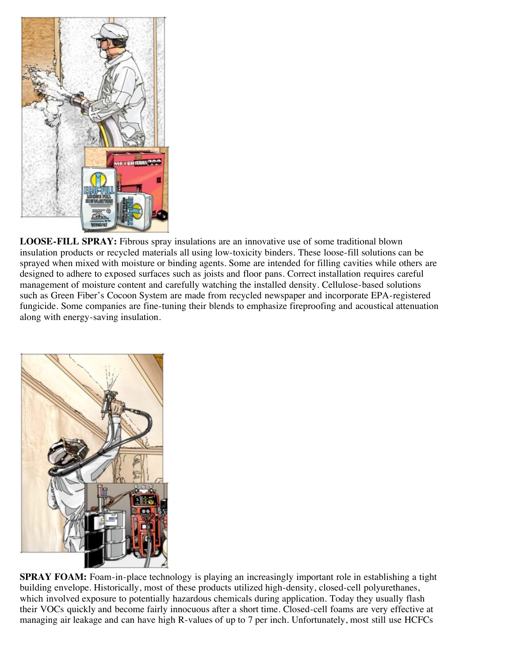

**LOOSE-FILL SPRAY:** Fibrous spray insulations are an innovative use of some traditional blown insulation products or recycled materials all using low-toxicity binders. These loose-fill solutions can be sprayed when mixed with moisture or binding agents. Some are intended for filling cavities while others are designed to adhere to exposed surfaces such as joists and floor pans. Correct installation requires careful management of moisture content and carefully watching the installed density. Cellulose-based solutions such as Green Fiber's Cocoon System are made from recycled newspaper and incorporate EPA-registered fungicide. Some companies are fine-tuning their blends to emphasize fireproofing and acoustical attenuation along with energy-saving insulation.



**SPRAY FOAM:** Foam-in-place technology is playing an increasingly important role in establishing a tight building envelope. Historically, most of these products utilized high-density, closed-cell polyurethanes, which involved exposure to potentially hazardous chemicals during application. Today they usually flash their VOCs quickly and become fairly innocuous after a short time. Closed-cell foams are very effective at managing air leakage and can have high R-values of up to 7 per inch. Unfortunately, most still use HCFCs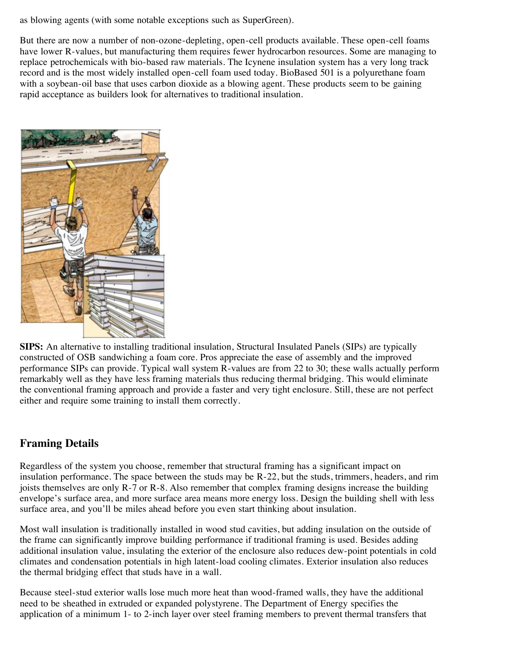as blowing agents (with some notable exceptions such as SuperGreen).

But there are now a number of non-ozone-depleting, open-cell products available. These open-cell foams have lower R-values, but manufacturing them requires fewer hydrocarbon resources. Some are managing to replace petrochemicals with bio-based raw materials. The Icynene insulation system has a very long track record and is the most widely installed open-cell foam used today. BioBased 501 is a polyurethane foam with a soybean-oil base that uses carbon dioxide as a blowing agent. These products seem to be gaining rapid acceptance as builders look for alternatives to traditional insulation.



**SIPS:** An alternative to installing traditional insulation, Structural Insulated Panels (SIPs) are typically constructed of OSB sandwiching a foam core. Pros appreciate the ease of assembly and the improved performance SIPs can provide. Typical wall system R-values are from 22 to 30; these walls actually perform remarkably well as they have less framing materials thus reducing thermal bridging. This would eliminate the conventional framing approach and provide a faster and very tight enclosure. Still, these are not perfect either and require some training to install them correctly.

### **Framing Details**

Regardless of the system you choose, remember that structural framing has a significant impact on insulation performance. The space between the studs may be R-22, but the studs, trimmers, headers, and rim joists themselves are only R-7 or R-8. Also remember that complex framing designs increase the building envelope's surface area, and more surface area means more energy loss. Design the building shell with less surface area, and you'll be miles ahead before you even start thinking about insulation.

Most wall insulation is traditionally installed in wood stud cavities, but adding insulation on the outside of the frame can significantly improve building performance if traditional framing is used. Besides adding additional insulation value, insulating the exterior of the enclosure also reduces dew-point potentials in cold climates and condensation potentials in high latent-load cooling climates. Exterior insulation also reduces the thermal bridging effect that studs have in a wall.

Because steel-stud exterior walls lose much more heat than wood-framed walls, they have the additional need to be sheathed in extruded or expanded polystyrene. The Department of Energy specifies the application of a minimum 1- to 2-inch layer over steel framing members to prevent thermal transfers that